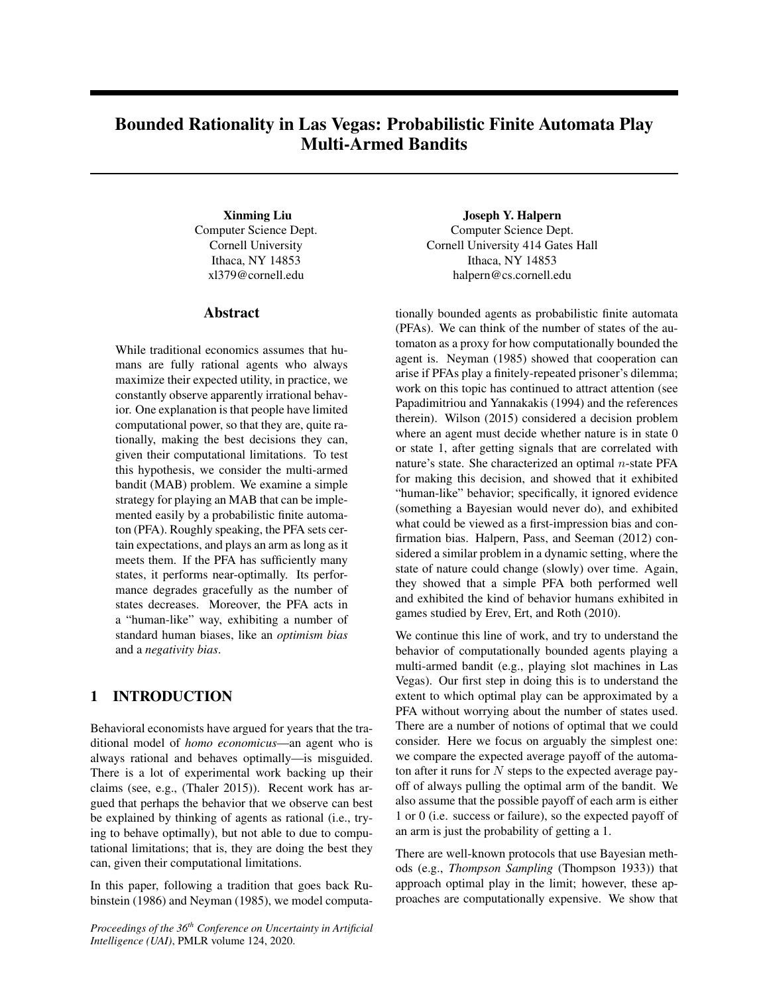# Bounded Rationality in Las Vegas: Probabilistic Finite Automata Play Multi-Armed Bandits

Xinming Liu Computer Science Dept. Cornell University Ithaca, NY 14853 xl379@cornell.edu

#### Abstract

While traditional economics assumes that humans are fully rational agents who always maximize their expected utility, in practice, we constantly observe apparently irrational behavior. One explanation is that people have limited computational power, so that they are, quite rationally, making the best decisions they can, given their computational limitations. To test this hypothesis, we consider the multi-armed bandit (MAB) problem. We examine a simple strategy for playing an MAB that can be implemented easily by a probabilistic finite automaton (PFA). Roughly speaking, the PFA sets certain expectations, and plays an arm as long as it meets them. If the PFA has sufficiently many states, it performs near-optimally. Its performance degrades gracefully as the number of states decreases. Moreover, the PFA acts in a "human-like" way, exhibiting a number of standard human biases, like an *optimism bias* and a *negativity bias*.

## 1 INTRODUCTION

Behavioral economists have argued for years that the traditional model of *homo economicus*—an agent who is always rational and behaves optimally—is misguided. There is a lot of experimental work backing up their claims (see, e.g., (Thaler 2015)). Recent work has argued that perhaps the behavior that we observe can best be explained by thinking of agents as rational (i.e., trying to behave optimally), but not able to due to computational limitations; that is, they are doing the best they can, given their computational limitations.

In this paper, following a tradition that goes back Rubinstein (1986) and Neyman (1985), we model computa-

*Proceedings of the 36th Conference on Uncertainty in Artificial Intelligence (UAI)*, PMLR volume 124, 2020.

Joseph Y. Halpern Computer Science Dept. Cornell University 414 Gates Hall Ithaca, NY 14853 halpern@cs.cornell.edu

tionally bounded agents as probabilistic finite automata (PFAs). We can think of the number of states of the automaton as a proxy for how computationally bounded the agent is. Neyman (1985) showed that cooperation can arise if PFAs play a finitely-repeated prisoner's dilemma; work on this topic has continued to attract attention (see Papadimitriou and Yannakakis (1994) and the references therein). Wilson (2015) considered a decision problem where an agent must decide whether nature is in state 0 or state 1, after getting signals that are correlated with nature's state. She characterized an optimal  $n$ -state PFA for making this decision, and showed that it exhibited "human-like" behavior; specifically, it ignored evidence (something a Bayesian would never do), and exhibited what could be viewed as a first-impression bias and confirmation bias. Halpern, Pass, and Seeman (2012) considered a similar problem in a dynamic setting, where the state of nature could change (slowly) over time. Again, they showed that a simple PFA both performed well and exhibited the kind of behavior humans exhibited in games studied by Erev, Ert, and Roth (2010).

We continue this line of work, and try to understand the behavior of computationally bounded agents playing a multi-armed bandit (e.g., playing slot machines in Las Vegas). Our first step in doing this is to understand the extent to which optimal play can be approximated by a PFA without worrying about the number of states used. There are a number of notions of optimal that we could consider. Here we focus on arguably the simplest one: we compare the expected average payoff of the automaton after it runs for  $N$  steps to the expected average payoff of always pulling the optimal arm of the bandit. We also assume that the possible payoff of each arm is either 1 or 0 (i.e. success or failure), so the expected payoff of an arm is just the probability of getting a 1.

There are well-known protocols that use Bayesian methods (e.g., *Thompson Sampling* (Thompson 1933)) that approach optimal play in the limit; however, these approaches are computationally expensive. We show that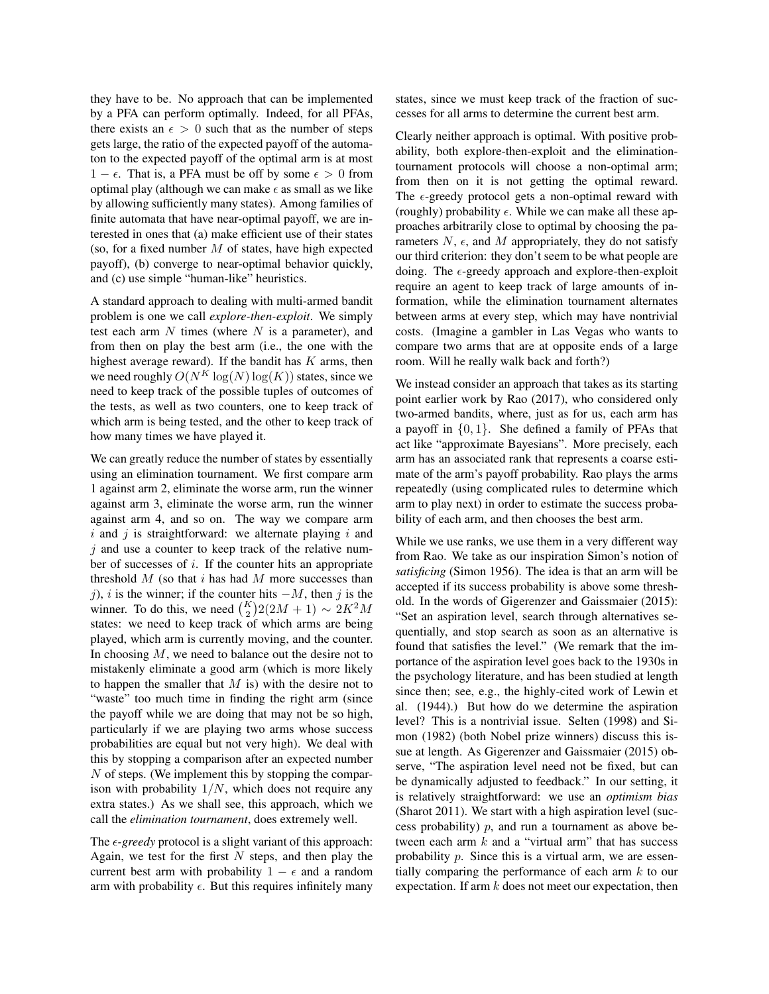they have to be. No approach that can be implemented by a PFA can perform optimally. Indeed, for all PFAs, there exists an  $\epsilon > 0$  such that as the number of steps gets large, the ratio of the expected payoff of the automaton to the expected payoff of the optimal arm is at most  $1 - \epsilon$ . That is, a PFA must be off by some  $\epsilon > 0$  from optimal play (although we can make  $\epsilon$  as small as we like by allowing sufficiently many states). Among families of finite automata that have near-optimal payoff, we are interested in ones that (a) make efficient use of their states (so, for a fixed number  $M$  of states, have high expected payoff), (b) converge to near-optimal behavior quickly, and (c) use simple "human-like" heuristics.

A standard approach to dealing with multi-armed bandit problem is one we call *explore-then-exploit*. We simply test each arm  $N$  times (where  $N$  is a parameter), and from then on play the best arm (i.e., the one with the highest average reward). If the bandit has  $K$  arms, then we need roughly  $O(N^K \log(N) \log(K))$  states, since we need to keep track of the possible tuples of outcomes of the tests, as well as two counters, one to keep track of which arm is being tested, and the other to keep track of how many times we have played it.

We can greatly reduce the number of states by essentially using an elimination tournament. We first compare arm 1 against arm 2, eliminate the worse arm, run the winner against arm 3, eliminate the worse arm, run the winner against arm 4, and so on. The way we compare arm  $i$  and  $j$  is straightforward: we alternate playing  $i$  and  $j$  and use a counter to keep track of the relative number of successes of i. If the counter hits an appropriate threshold  $M$  (so that  $i$  has had  $M$  more successes than j), i is the winner; if the counter hits  $-M$ , then j is the winner. To do this, we need  $\binom{K}{2} 2(2M + 1) \sim 2K^2M$ states: we need to keep track of which arms are being played, which arm is currently moving, and the counter. In choosing  $M$ , we need to balance out the desire not to mistakenly eliminate a good arm (which is more likely to happen the smaller that  $M$  is) with the desire not to "waste" too much time in finding the right arm (since the payoff while we are doing that may not be so high, particularly if we are playing two arms whose success probabilities are equal but not very high). We deal with this by stopping a comparison after an expected number  $N$  of steps. (We implement this by stopping the comparison with probability  $1/N$ , which does not require any extra states.) As we shall see, this approach, which we call the *elimination tournament*, does extremely well.

The  $\epsilon$ -greedy protocol is a slight variant of this approach: Again, we test for the first  $N$  steps, and then play the current best arm with probability  $1 - \epsilon$  and a random arm with probability  $\epsilon$ . But this requires infinitely many states, since we must keep track of the fraction of successes for all arms to determine the current best arm.

Clearly neither approach is optimal. With positive probability, both explore-then-exploit and the eliminationtournament protocols will choose a non-optimal arm; from then on it is not getting the optimal reward. The  $\epsilon$ -greedy protocol gets a non-optimal reward with (roughly) probability  $\epsilon$ . While we can make all these approaches arbitrarily close to optimal by choosing the parameters  $N$ ,  $\epsilon$ , and M appropriately, they do not satisfy our third criterion: they don't seem to be what people are doing. The  $\epsilon$ -greedy approach and explore-then-exploit require an agent to keep track of large amounts of information, while the elimination tournament alternates between arms at every step, which may have nontrivial costs. (Imagine a gambler in Las Vegas who wants to compare two arms that are at opposite ends of a large room. Will he really walk back and forth?)

We instead consider an approach that takes as its starting point earlier work by Rao (2017), who considered only two-armed bandits, where, just as for us, each arm has a payoff in  $\{0, 1\}$ . She defined a family of PFAs that act like "approximate Bayesians". More precisely, each arm has an associated rank that represents a coarse estimate of the arm's payoff probability. Rao plays the arms repeatedly (using complicated rules to determine which arm to play next) in order to estimate the success probability of each arm, and then chooses the best arm.

While we use ranks, we use them in a very different way from Rao. We take as our inspiration Simon's notion of *satisficing* (Simon 1956). The idea is that an arm will be accepted if its success probability is above some threshold. In the words of Gigerenzer and Gaissmaier (2015): "Set an aspiration level, search through alternatives sequentially, and stop search as soon as an alternative is found that satisfies the level." (We remark that the importance of the aspiration level goes back to the 1930s in the psychology literature, and has been studied at length since then; see, e.g., the highly-cited work of Lewin et al. (1944).) But how do we determine the aspiration level? This is a nontrivial issue. Selten (1998) and Simon (1982) (both Nobel prize winners) discuss this issue at length. As Gigerenzer and Gaissmaier (2015) observe, "The aspiration level need not be fixed, but can be dynamically adjusted to feedback." In our setting, it is relatively straightforward: we use an *optimism bias* (Sharot 2011). We start with a high aspiration level (success probability)  $p$ , and run a tournament as above between each arm  $k$  and a "virtual arm" that has success probability p. Since this is a virtual arm, we are essentially comparing the performance of each arm  $k$  to our expectation. If arm  $k$  does not meet our expectation, then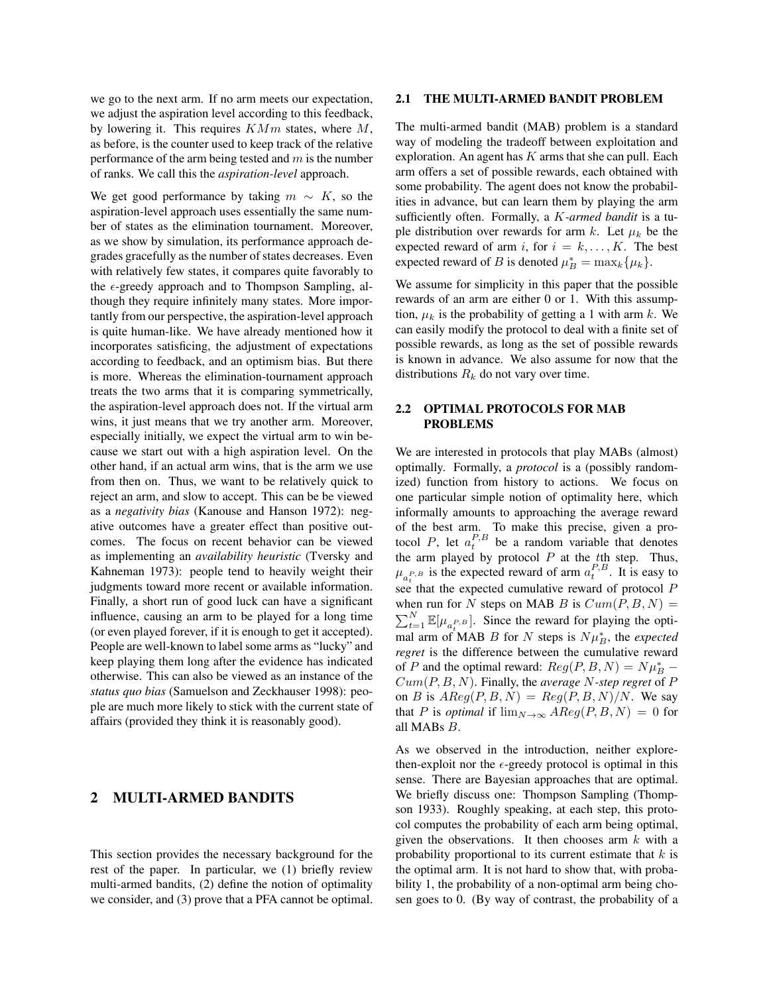we go to the next arm. If no arm meets our expectation, we adjust the aspiration level according to this feedback, by lowering it. This requires  $KMm$  states, where  $M$ , as before, is the counter used to keep track of the relative performance of the arm being tested and  $m$  is the number of ranks. We call this the *aspiration-level* approach.

We get good performance by taking  $m \sim K$ , so the aspiration-level approach uses essentially the same number of states as the elimination tournament. Moreover, as we show by simulation, its performance approach degrades gracefully as the number of states decreases. Even with relatively few states, it compares quite favorably to the  $\epsilon$ -greedy approach and to Thompson Sampling, although they require infinitely many states. More importantly from our perspective, the aspiration-level approach is quite human-like. We have already mentioned how it incorporates satisficing, the adjustment of expectations according to feedback, and an optimism bias. But there is more. Whereas the elimination-tournament approach treats the two arms that it is comparing symmetrically, the aspiration-level approach does not. If the virtual arm wins, it just means that we try another arm. Moreover, especially initially, we expect the virtual arm to win because we start out with a high aspiration level. On the other hand, if an actual arm wins, that is the arm we use from then on. Thus, we want to be relatively quick to reject an arm, and slow to accept. This can be be viewed as a *negativity bias* (Kanouse and Hanson 1972): negative outcomes have a greater effect than positive outcomes. The focus on recent behavior can be viewed as implementing an *availability heuristic* (Tversky and Kahneman 1973): people tend to heavily weight their judgments toward more recent or available information. Finally, a short run of good luck can have a significant influence, causing an arm to be played for a long time (or even played forever, if it is enough to get it accepted). People are well-known to label some arms as "lucky" and keep playing them long after the evidence has indicated otherwise. This can also be viewed as an instance of the *status quo bias* (Samuelson and Zeckhauser 1998): people are much more likely to stick with the current state of affairs (provided they think it is reasonably good).

## 2 MULTI-ARMED BANDITS

This section provides the necessary background for the rest of the paper. In particular, we (1) briefly review multi-armed bandits, (2) define the notion of optimality we consider, and (3) prove that a PFA cannot be optimal.

#### 2.1 THE MULTI-ARMED BANDIT PROBLEM

The multi-armed bandit (MAB) problem is a standard way of modeling the tradeoff between exploitation and exploration. An agent has  $K$  arms that she can pull. Each arm offers a set of possible rewards, each obtained with some probability. The agent does not know the probabilities in advance, but can learn them by playing the arm sufficiently often. Formally, a K*-armed bandit* is a tuple distribution over rewards for arm k. Let  $\mu_k$  be the expected reward of arm i, for  $i = k, ..., K$ . The best expected reward of B is denoted  $\mu_B^* = \max_k {\mu_k}.$ 

We assume for simplicity in this paper that the possible rewards of an arm are either 0 or 1. With this assumption,  $\mu_k$  is the probability of getting a 1 with arm k. We can easily modify the protocol to deal with a finite set of possible rewards, as long as the set of possible rewards is known in advance. We also assume for now that the distributions  $R_k$  do not vary over time.

## 2.2 OPTIMAL PROTOCOLS FOR MAB PROBLEMS

We are interested in protocols that play MABs (almost) optimally. Formally, a *protocol* is a (possibly randomized) function from history to actions. We focus on one particular simple notion of optimality here, which informally amounts to approaching the average reward of the best arm. To make this precise, given a protocol P, let  $a_t^{P,B}$  be a random variable that denotes the arm played by protocol  $P$  at the  $t$ th step. Thus,  $\mu_{a_t^{P,B}}$  is the expected reward of arm  $a_t^{P,B}$ . It is easy to see that the expected cumulative reward of protocol  $\overrightarrow{P}$ when run for N steps on MAB B is  $Cum(P, B, N) =$  $\sum_{t=1}^{N} \mathbb{E}[\mu_{a_t^{P,B}}]$ . Since the reward for playing the opti- $\sum_{i=1}^{n} \sum_{i=1}^{n} u_i$   $\sum_{i=1}^{n} B_i$  for N steps is  $N \mu_B^*$ , the *expected regret* is the difference between the cumulative reward of P and the optimal reward:  $Reg(P, B, N) = N\mu_B^*$  – Cum(P, B, N). Finally, the *average* N*-step regret* of P on B is  $AReg(P, B, N) = Reg(P, B, N)/N$ . We say that P is *optimal* if  $\lim_{N\to\infty} AReg(P, B, N) = 0$  for all MABs B.

As we observed in the introduction, neither explorethen-exploit nor the  $\epsilon$ -greedy protocol is optimal in this sense. There are Bayesian approaches that are optimal. We briefly discuss one: Thompson Sampling (Thompson 1933). Roughly speaking, at each step, this protocol computes the probability of each arm being optimal, given the observations. It then chooses arm  $k$  with a probability proportional to its current estimate that  $k$  is the optimal arm. It is not hard to show that, with probability 1, the probability of a non-optimal arm being chosen goes to 0. (By way of contrast, the probability of a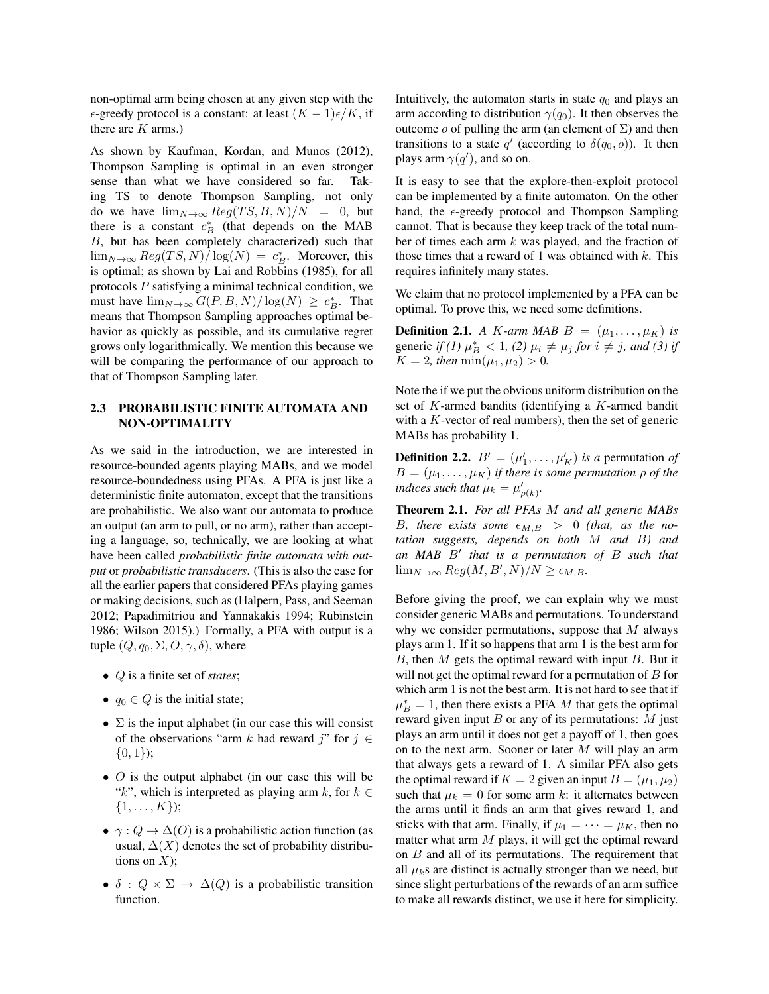non-optimal arm being chosen at any given step with the  $\epsilon$ -greedy protocol is a constant: at least  $(K - 1)\epsilon/K$ , if there are  $K$  arms.)

As shown by Kaufman, Kordan, and Munos (2012), Thompson Sampling is optimal in an even stronger sense than what we have considered so far. Taking TS to denote Thompson Sampling, not only do we have  $\lim_{N\to\infty}$   $Reg(TS, B, N)/N = 0$ , but there is a constant  $c_B^*$  (that depends on the MAB B, but has been completely characterized) such that  $\lim_{N\to\infty}$   $Reg(TS, N) / log(N) = c_B^*$ . Moreover, this is optimal; as shown by Lai and Robbins (1985), for all protocols  $P$  satisfying a minimal technical condition, we must have  $\lim_{N\to\infty} G(P, B, N)/\log(N) \geq c_B^*$ . That means that Thompson Sampling approaches optimal behavior as quickly as possible, and its cumulative regret grows only logarithmically. We mention this because we will be comparing the performance of our approach to that of Thompson Sampling later.

## 2.3 PROBABILISTIC FINITE AUTOMATA AND NON-OPTIMALITY

As we said in the introduction, we are interested in resource-bounded agents playing MABs, and we model resource-boundedness using PFAs. A PFA is just like a deterministic finite automaton, except that the transitions are probabilistic. We also want our automata to produce an output (an arm to pull, or no arm), rather than accepting a language, so, technically, we are looking at what have been called *probabilistic finite automata with output* or *probabilistic transducers*. (This is also the case for all the earlier papers that considered PFAs playing games or making decisions, such as (Halpern, Pass, and Seeman 2012; Papadimitriou and Yannakakis 1994; Rubinstein 1986; Wilson 2015).) Formally, a PFA with output is a tuple  $(Q, q_0, \Sigma, O, \gamma, \delta)$ , where

- Q is a finite set of *states*;
- $q_0 \in Q$  is the initial state;
- $\Sigma$  is the input alphabet (in our case this will consist of the observations "arm k had reward j" for  $j \in$  $\{0, 1\};$
- $\overline{O}$  is the output alphabet (in our case this will be "k", which is interpreted as playing arm k, for  $k \in$  $\{1, \ldots, K\}$ ;
- $\gamma$  :  $Q \to \Delta(O)$  is a probabilistic action function (as usual,  $\Delta(X)$  denotes the set of probability distributions on  $X$ );
- $\delta$  :  $Q \times \Sigma \rightarrow \Delta(Q)$  is a probabilistic transition function.

Intuitively, the automaton starts in state  $q_0$  and plays an arm according to distribution  $\gamma(q_0)$ . It then observes the outcome o of pulling the arm (an element of  $\Sigma$ ) and then transitions to a state q' (according to  $\delta(q_0, o)$ ). It then plays arm  $\gamma(q')$ , and so on.

It is easy to see that the explore-then-exploit protocol can be implemented by a finite automaton. On the other hand, the  $\epsilon$ -greedy protocol and Thompson Sampling cannot. That is because they keep track of the total number of times each arm  $k$  was played, and the fraction of those times that a reward of 1 was obtained with  $k$ . This requires infinitely many states.

We claim that no protocol implemented by a PFA can be optimal. To prove this, we need some definitions.

**Definition 2.1.** *A K*-*arm MAB B* =  $(\mu_1, \ldots, \mu_K)$  *is* generic *if* (1)  $\mu_B^* < 1$ , (2)  $\mu_i \neq \mu_j$  *for*  $i \neq j$ *, and* (3) *if*  $K = 2$ , then  $\min(\mu_1, \mu_2) > 0$ .

Note the if we put the obvious uniform distribution on the set of K-armed bandits (identifying a K-armed bandit with a  $K$ -vector of real numbers), then the set of generic MABs has probability 1.

**Definition 2.2.**  $B' = (\mu'_1, \dots, \mu'_K)$  *is a* permutation *of*  $B = (\mu_1, \dots, \mu_K)$  *if there is some permutation*  $\rho$  *of the indices such that*  $\mu_k = \mu'_{\rho(k)}$ *.* 

Theorem 2.1. *For all PFAs* M *and all generic MABs* B, there exists some  $\epsilon_{M,B} > 0$  (that, as the no*tation suggests, depends on both* M *and* B*) and an MAB* B<sup>0</sup> *that is a permutation of* B *such that*  $\lim_{N\to\infty}$   $Reg(M, B', N)/N \geq \epsilon_{M, B}$ .

Before giving the proof, we can explain why we must consider generic MABs and permutations. To understand why we consider permutations, suppose that  $M$  always plays arm 1. If it so happens that arm 1 is the best arm for B, then M gets the optimal reward with input B. But it will not get the optimal reward for a permutation of  $B$  for which arm 1 is not the best arm. It is not hard to see that if  $\mu_B^* = 1$ , then there exists a PFA M that gets the optimal reward given input  $B$  or any of its permutations:  $M$  just plays an arm until it does not get a payoff of 1, then goes on to the next arm. Sooner or later  $M$  will play an arm that always gets a reward of 1. A similar PFA also gets the optimal reward if  $K = 2$  given an input  $B = (\mu_1, \mu_2)$ such that  $\mu_k = 0$  for some arm k: it alternates between the arms until it finds an arm that gives reward 1, and sticks with that arm. Finally, if  $\mu_1 = \cdots = \mu_K$ , then no matter what arm  $M$  plays, it will get the optimal reward on  $B$  and all of its permutations. The requirement that all  $\mu_k$ s are distinct is actually stronger than we need, but since slight perturbations of the rewards of an arm suffice to make all rewards distinct, we use it here for simplicity.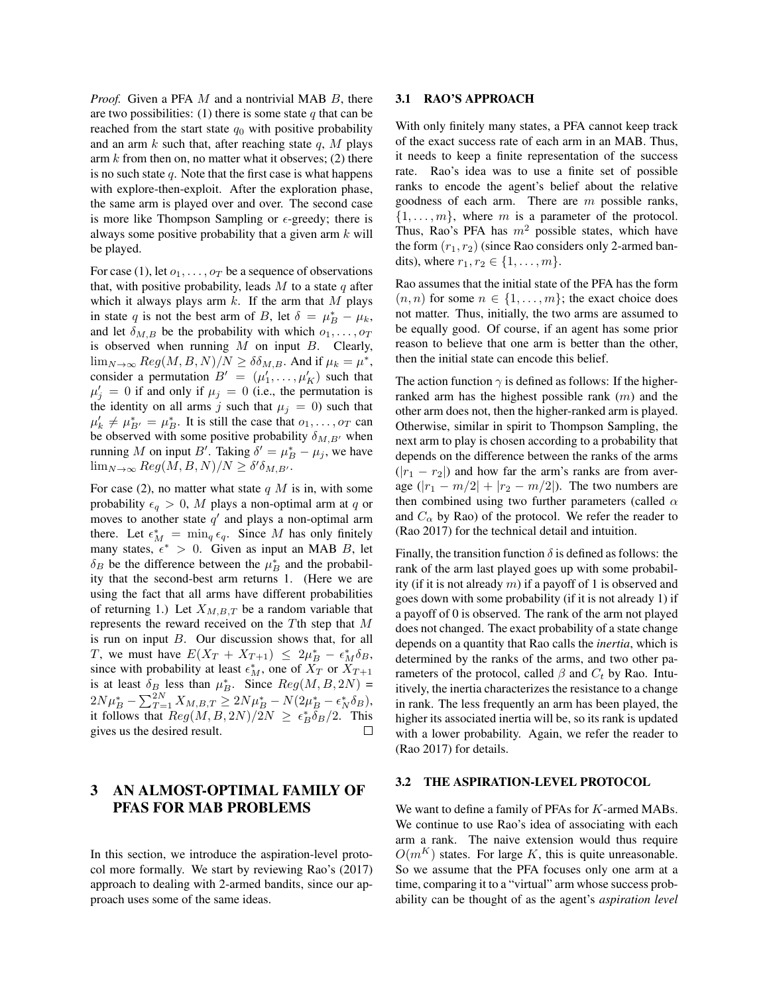*Proof.* Given a PFA M and a nontrivial MAB B, there are two possibilities: (1) there is some state  $q$  that can be reached from the start state  $q_0$  with positive probability and an arm  $k$  such that, after reaching state  $q$ ,  $M$  plays arm  $k$  from then on, no matter what it observes; (2) there is no such state  $q$ . Note that the first case is what happens with explore-then-exploit. After the exploration phase, the same arm is played over and over. The second case is more like Thompson Sampling or  $\epsilon$ -greedy; there is always some positive probability that a given arm  $k$  will be played.

For case (1), let  $o_1, \ldots, o_T$  be a sequence of observations that, with positive probability, leads  $M$  to a state  $q$  after which it always plays arm  $k$ . If the arm that  $M$  plays in state q is not the best arm of B, let  $\delta = \mu_B^* - \mu_k$ , and let  $\delta_{M,B}$  be the probability with which  $o_1, \ldots, o_T$ is observed when running  $M$  on input  $B$ . Clearly,  $\lim_{N\to\infty}$   $Reg(M, B, N)/N \ge \delta \delta_{M,B}$ . And if  $\mu_k = \mu^*$ , consider a permutation  $B' = (\mu'_1, \dots, \mu'_K)$  such that  $\mu'_j = 0$  if and only if  $\mu_j = 0$  (i.e., the permutation is the identity on all arms j such that  $\mu_j = 0$ ) such that  $\mu'_k \neq \mu^*_{B'} = \mu^*_{B}$ . It is still the case that  $o_1, \ldots, o_T$  can be observed with some positive probability  $\delta_{M,B'}$  when running M on input B'. Taking  $\delta' = \mu_B^* - \mu_j$ , we have  $\lim_{N\to\infty}$   $Reg(M, B, N)/N \ge \delta'\delta_{M, B'}.$ 

For case (2), no matter what state  $q$  M is in, with some probability  $\epsilon_q > 0$ , M plays a non-optimal arm at q or moves to another state  $q'$  and plays a non-optimal arm there. Let  $\epsilon_M^* = \min_q \epsilon_q$ . Since M has only finitely many states,  $\epsilon^* > 0$ . Given as input an MAB B, let  $\delta_B$  be the difference between the  $\mu_B^*$  and the probability that the second-best arm returns 1. (Here we are using the fact that all arms have different probabilities of returning 1.) Let  $X_{M,B,T}$  be a random variable that represents the reward received on the Tth step that M is run on input B. Our discussion shows that, for all T, we must have  $E(X_T + X_{T+1}) \leq 2\mu_B^* - \epsilon_M^* \delta_B$ , since with probability at least  $\epsilon_M^*$ , one of  $X_T$  or  $X_{T+1}$ is at least  $\delta_B$  less than  $\mu_B^*$ . Since  $Reg(M, B, 2N)$  =  $2N\mu_B^* - \sum_{T=1}^{2N} X_{M,B,T} \ge 2N\mu_B^* - N(2\mu_B^* - \epsilon_N^* \delta_B),$ it follows that  $Reg(M, B, 2N)/2N \ge \epsilon_B^* \delta_B/2$ . This gives us the desired result. П

## 3 AN ALMOST-OPTIMAL FAMILY OF PFAS FOR MAB PROBLEMS

In this section, we introduce the aspiration-level protocol more formally. We start by reviewing Rao's (2017) approach to dealing with 2-armed bandits, since our approach uses some of the same ideas.

#### 3.1 RAO'S APPROACH

With only finitely many states, a PFA cannot keep track of the exact success rate of each arm in an MAB. Thus, it needs to keep a finite representation of the success rate. Rao's idea was to use a finite set of possible ranks to encode the agent's belief about the relative goodness of each arm. There are  $m$  possible ranks,  $\{1, \ldots, m\}$ , where m is a parameter of the protocol. Thus, Rao's PFA has  $m^2$  possible states, which have the form  $(r_1, r_2)$  (since Rao considers only 2-armed bandits), where  $r_1, r_2 \in \{1, ..., m\}$ .

Rao assumes that the initial state of the PFA has the form  $(n, n)$  for some  $n \in \{1, \ldots, m\}$ ; the exact choice does not matter. Thus, initially, the two arms are assumed to be equally good. Of course, if an agent has some prior reason to believe that one arm is better than the other, then the initial state can encode this belief.

The action function  $\gamma$  is defined as follows: If the higherranked arm has the highest possible rank  $(m)$  and the other arm does not, then the higher-ranked arm is played. Otherwise, similar in spirit to Thompson Sampling, the next arm to play is chosen according to a probability that depends on the difference between the ranks of the arms  $(|r_1 - r_2|)$  and how far the arm's ranks are from average  $(|r_1 - m/2| + |r_2 - m/2|)$ . The two numbers are then combined using two further parameters (called  $\alpha$ and  $C_{\alpha}$  by Rao) of the protocol. We refer the reader to (Rao 2017) for the technical detail and intuition.

Finally, the transition function  $\delta$  is defined as follows: the rank of the arm last played goes up with some probability (if it is not already  $m$ ) if a payoff of 1 is observed and goes down with some probability (if it is not already 1) if a payoff of 0 is observed. The rank of the arm not played does not changed. The exact probability of a state change depends on a quantity that Rao calls the *inertia*, which is determined by the ranks of the arms, and two other parameters of the protocol, called  $\beta$  and  $C_t$  by Rao. Intuitively, the inertia characterizes the resistance to a change in rank. The less frequently an arm has been played, the higher its associated inertia will be, so its rank is updated with a lower probability. Again, we refer the reader to (Rao 2017) for details.

#### 3.2 THE ASPIRATION-LEVEL PROTOCOL

We want to define a family of PFAs for K-armed MABs. We continue to use Rao's idea of associating with each arm a rank. The naive extension would thus require  $O(m^{K})$  states. For large K, this is quite unreasonable. So we assume that the PFA focuses only one arm at a time, comparing it to a "virtual" arm whose success probability can be thought of as the agent's *aspiration level*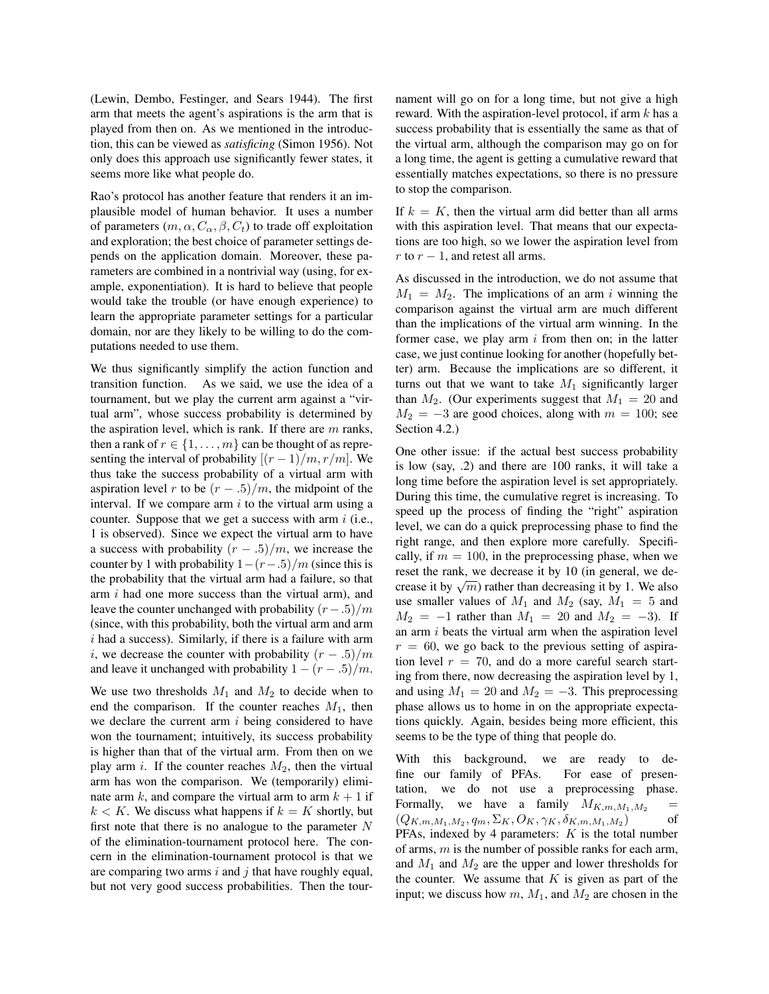(Lewin, Dembo, Festinger, and Sears 1944). The first arm that meets the agent's aspirations is the arm that is played from then on. As we mentioned in the introduction, this can be viewed as *satisficing* (Simon 1956). Not only does this approach use significantly fewer states, it seems more like what people do.

Rao's protocol has another feature that renders it an implausible model of human behavior. It uses a number of parameters  $(m, \alpha, C_\alpha, \beta, C_t)$  to trade off exploitation and exploration; the best choice of parameter settings depends on the application domain. Moreover, these parameters are combined in a nontrivial way (using, for example, exponentiation). It is hard to believe that people would take the trouble (or have enough experience) to learn the appropriate parameter settings for a particular domain, nor are they likely to be willing to do the computations needed to use them.

We thus significantly simplify the action function and transition function. As we said, we use the idea of a tournament, but we play the current arm against a "virtual arm", whose success probability is determined by the aspiration level, which is rank. If there are  $m$  ranks, then a rank of  $r \in \{1, \ldots, m\}$  can be thought of as representing the interval of probability  $[(r-1)/m, r/m]$ . We thus take the success probability of a virtual arm with aspiration level r to be  $(r - .5)/m$ , the midpoint of the interval. If we compare arm  $i$  to the virtual arm using a counter. Suppose that we get a success with arm  $i$  (i.e., 1 is observed). Since we expect the virtual arm to have a success with probability  $(r - .5)/m$ , we increase the counter by 1 with probability  $1-(r-0.5)/m$  (since this is the probability that the virtual arm had a failure, so that arm  $i$  had one more success than the virtual arm), and leave the counter unchanged with probability  $(r-0.5)/m$ (since, with this probability, both the virtual arm and arm  $i$  had a success). Similarly, if there is a failure with arm i, we decrease the counter with probability  $(r - .5)/m$ and leave it unchanged with probability  $1 - (r - .5)/m$ .

We use two thresholds  $M_1$  and  $M_2$  to decide when to end the comparison. If the counter reaches  $M_1$ , then we declare the current arm  $i$  being considered to have won the tournament; intuitively, its success probability is higher than that of the virtual arm. From then on we play arm i. If the counter reaches  $M_2$ , then the virtual arm has won the comparison. We (temporarily) eliminate arm k, and compare the virtual arm to arm  $k + 1$  if  $k < K$ . We discuss what happens if  $k = K$  shortly, but first note that there is no analogue to the parameter  $N$ of the elimination-tournament protocol here. The concern in the elimination-tournament protocol is that we are comparing two arms  $i$  and  $j$  that have roughly equal, but not very good success probabilities. Then the tournament will go on for a long time, but not give a high reward. With the aspiration-level protocol, if arm  $k$  has a success probability that is essentially the same as that of the virtual arm, although the comparison may go on for a long time, the agent is getting a cumulative reward that essentially matches expectations, so there is no pressure to stop the comparison.

If  $k = K$ , then the virtual arm did better than all arms with this aspiration level. That means that our expectations are too high, so we lower the aspiration level from r to  $r - 1$ , and retest all arms.

As discussed in the introduction, we do not assume that  $M_1 = M_2$ . The implications of an arm i winning the comparison against the virtual arm are much different than the implications of the virtual arm winning. In the former case, we play arm  $i$  from then on; in the latter case, we just continue looking for another (hopefully better) arm. Because the implications are so different, it turns out that we want to take  $M_1$  significantly larger than  $M_2$ . (Our experiments suggest that  $M_1 = 20$  and  $M_2 = -3$  are good choices, along with  $m = 100$ ; see Section 4.2.)

One other issue: if the actual best success probability is low (say, .2) and there are 100 ranks, it will take a long time before the aspiration level is set appropriately. During this time, the cumulative regret is increasing. To speed up the process of finding the "right" aspiration level, we can do a quick preprocessing phase to find the right range, and then explore more carefully. Specifically, if  $m = 100$ , in the preprocessing phase, when we reset the rank, we decrease it by 10 (in general, we dereset the rank, we decrease it by 10 (in general, we decrease it by  $\sqrt{m}$ ) rather than decreasing it by 1. We also use smaller values of  $M_1$  and  $M_2$  (say,  $M_1 = 5$  and  $M_2 = -1$  rather than  $M_1 = 20$  and  $M_2 = -3$ ). If an arm  $i$  beats the virtual arm when the aspiration level  $r = 60$ , we go back to the previous setting of aspiration level  $r = 70$ , and do a more careful search starting from there, now decreasing the aspiration level by 1, and using  $M_1 = 20$  and  $M_2 = -3$ . This preprocessing phase allows us to home in on the appropriate expectations quickly. Again, besides being more efficient, this seems to be the type of thing that people do.

With this background, we are ready to define our family of PFAs. For ease of presentation, we do not use a preprocessing phase. Formally, we have a family  $M_{K,m,M_1,M_2}$  =  $(Q_{K,m,M_1,M_2},q_m,\Sigma_K,O_K,\gamma_K,\delta_{K,m,M_1,M_2})$ ) of PFAs, indexed by 4 parameters:  $K$  is the total number of arms,  $m$  is the number of possible ranks for each arm, and  $M_1$  and  $M_2$  are the upper and lower thresholds for the counter. We assume that  $K$  is given as part of the input; we discuss how  $m$ ,  $M_1$ , and  $M_2$  are chosen in the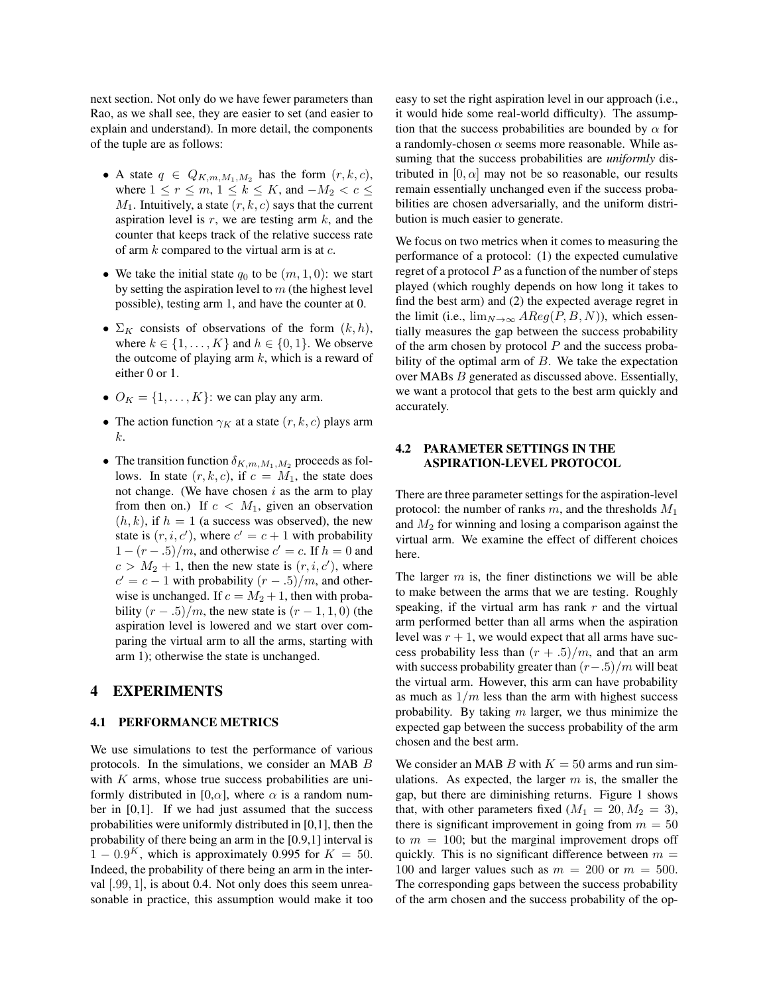next section. Not only do we have fewer parameters than Rao, as we shall see, they are easier to set (and easier to explain and understand). In more detail, the components of the tuple are as follows:

- A state  $q \in Q_{K,m,M_1,M_2}$  has the form  $(r, k, c)$ , where  $1 \le r \le m$ ,  $1 \le k \le K$ , and  $-M_2 < c \le$  $M_1$ . Intuitively, a state  $(r, k, c)$  says that the current aspiration level is  $r$ , we are testing arm  $k$ , and the counter that keeps track of the relative success rate of arm  $k$  compared to the virtual arm is at  $c$ .
- We take the initial state  $q_0$  to be  $(m, 1, 0)$ : we start by setting the aspiration level to  $m$  (the highest level possible), testing arm 1, and have the counter at 0.
- $\Sigma_K$  consists of observations of the form  $(k, h)$ , where  $k \in \{1, \ldots, K\}$  and  $h \in \{0, 1\}$ . We observe the outcome of playing arm  $k$ , which is a reward of either 0 or 1.
- $O_K = \{1, \ldots, K\}$ : we can play any arm.
- The action function  $\gamma_K$  at a state  $(r, k, c)$  plays arm k.
- The transition function  $\delta_{K,m,M_1,M_2}$  proceeds as follows. In state  $(r, k, c)$ , if  $c = M_1$ , the state does not change. (We have chosen  $i$  as the arm to play from then on.) If  $c < M_1$ , given an observation  $(h, k)$ , if  $h = 1$  (a success was observed), the new state is  $(r, i, c')$ , where  $c' = c + 1$  with probability  $1 - (r - .5)/m$ , and otherwise  $c' = c$ . If  $h = 0$  and  $c > M_2 + 1$ , then the new state is  $(r, i, c')$ , where  $c' = c - 1$  with probability  $(r - .5)/m$ , and otherwise is unchanged. If  $c = M_2 + 1$ , then with probability  $(r - .5)/m$ , the new state is  $(r - 1, 1, 0)$  (the aspiration level is lowered and we start over comparing the virtual arm to all the arms, starting with arm 1); otherwise the state is unchanged.

## 4 EXPERIMENTS

#### 4.1 PERFORMANCE METRICS

We use simulations to test the performance of various protocols. In the simulations, we consider an MAB B with  $K$  arms, whose true success probabilities are uniformly distributed in [0, $\alpha$ ], where  $\alpha$  is a random number in [0,1]. If we had just assumed that the success probabilities were uniformly distributed in [0,1], then the probability of there being an arm in the [0.9,1] interval is  $1 - 0.9<sup>K</sup>$ , which is approximately 0.995 for  $K = 50$ . Indeed, the probability of there being an arm in the interval [.99, 1], is about 0.4. Not only does this seem unreasonable in practice, this assumption would make it too easy to set the right aspiration level in our approach (i.e., it would hide some real-world difficulty). The assumption that the success probabilities are bounded by  $\alpha$  for a randomly-chosen  $\alpha$  seems more reasonable. While assuming that the success probabilities are *uniformly* distributed in  $[0, \alpha]$  may not be so reasonable, our results remain essentially unchanged even if the success probabilities are chosen adversarially, and the uniform distribution is much easier to generate.

We focus on two metrics when it comes to measuring the performance of a protocol: (1) the expected cumulative regret of a protocol  $P$  as a function of the number of steps played (which roughly depends on how long it takes to find the best arm) and (2) the expected average regret in the limit (i.e.,  $\lim_{N\to\infty} AReg(P, B, N)$ ), which essentially measures the gap between the success probability of the arm chosen by protocol  $P$  and the success probability of the optimal arm of  $B$ . We take the expectation over MABs B generated as discussed above. Essentially, we want a protocol that gets to the best arm quickly and accurately.

## 4.2 PARAMETER SETTINGS IN THE ASPIRATION-LEVEL PROTOCOL

There are three parameter settings for the aspiration-level protocol: the number of ranks m, and the thresholds  $M_1$ and  $M<sub>2</sub>$  for winning and losing a comparison against the virtual arm. We examine the effect of different choices here.

The larger  $m$  is, the finer distinctions we will be able to make between the arms that we are testing. Roughly speaking, if the virtual arm has rank  $r$  and the virtual arm performed better than all arms when the aspiration level was  $r + 1$ , we would expect that all arms have success probability less than  $(r + .5)/m$ , and that an arm with success probability greater than  $(r-0.5)/m$  will beat the virtual arm. However, this arm can have probability as much as  $1/m$  less than the arm with highest success probability. By taking  $m$  larger, we thus minimize the expected gap between the success probability of the arm chosen and the best arm.

We consider an MAB B with  $K = 50$  arms and run simulations. As expected, the larger  $m$  is, the smaller the gap, but there are diminishing returns. Figure 1 shows that, with other parameters fixed  $(M_1 = 20, M_2 = 3)$ , there is significant improvement in going from  $m = 50$ to  $m = 100$ ; but the marginal improvement drops off quickly. This is no significant difference between  $m =$ 100 and larger values such as  $m = 200$  or  $m = 500$ . The corresponding gaps between the success probability of the arm chosen and the success probability of the op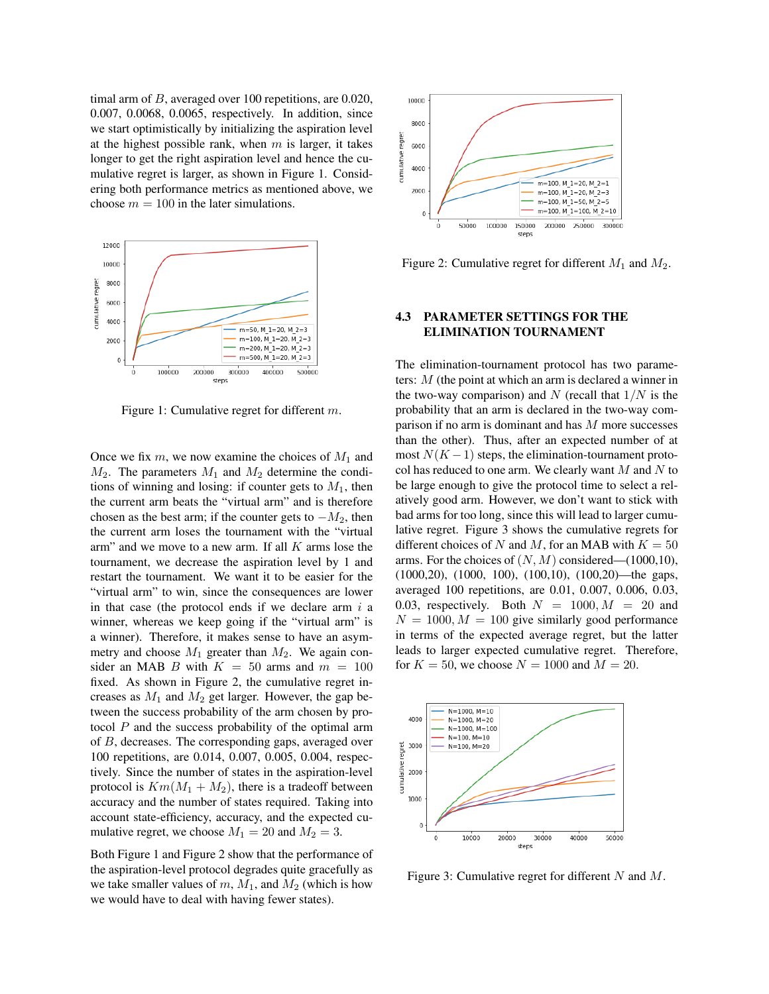timal arm of B, averaged over 100 repetitions, are 0.020, 0.007, 0.0068, 0.0065, respectively. In addition, since we start optimistically by initializing the aspiration level at the highest possible rank, when  $m$  is larger, it takes longer to get the right aspiration level and hence the cumulative regret is larger, as shown in Figure 1. Considering both performance metrics as mentioned above, we choose  $m = 100$  in the later simulations.



Figure 1: Cumulative regret for different m.

Once we fix  $m$ , we now examine the choices of  $M_1$  and  $M_2$ . The parameters  $M_1$  and  $M_2$  determine the conditions of winning and losing: if counter gets to  $M_1$ , then the current arm beats the "virtual arm" and is therefore chosen as the best arm; if the counter gets to  $-M_2$ , then the current arm loses the tournament with the "virtual arm" and we move to a new arm. If all  $K$  arms lose the tournament, we decrease the aspiration level by 1 and restart the tournament. We want it to be easier for the "virtual arm" to win, since the consequences are lower in that case (the protocol ends if we declare arm  $i$  a winner, whereas we keep going if the "virtual arm" is a winner). Therefore, it makes sense to have an asymmetry and choose  $M_1$  greater than  $M_2$ . We again consider an MAB B with  $K = 50$  arms and  $m = 100$ fixed. As shown in Figure 2, the cumulative regret increases as  $M_1$  and  $M_2$  get larger. However, the gap between the success probability of the arm chosen by protocol  $P$  and the success probability of the optimal arm of B, decreases. The corresponding gaps, averaged over 100 repetitions, are 0.014, 0.007, 0.005, 0.004, respectively. Since the number of states in the aspiration-level protocol is  $Km(M_1 + M_2)$ , there is a tradeoff between accuracy and the number of states required. Taking into account state-efficiency, accuracy, and the expected cumulative regret, we choose  $M_1 = 20$  and  $M_2 = 3$ .

Both Figure 1 and Figure 2 show that the performance of the aspiration-level protocol degrades quite gracefully as we take smaller values of  $m$ ,  $M_1$ , and  $M_2$  (which is how we would have to deal with having fewer states).



Figure 2: Cumulative regret for different  $M_1$  and  $M_2$ .

## 4.3 PARAMETER SETTINGS FOR THE ELIMINATION TOURNAMENT

The elimination-tournament protocol has two parameters: M (the point at which an arm is declared a winner in the two-way comparison) and N (recall that  $1/N$  is the probability that an arm is declared in the two-way comparison if no arm is dominant and has M more successes than the other). Thus, after an expected number of at most  $N(K-1)$  steps, the elimination-tournament protocol has reduced to one arm. We clearly want  $M$  and  $N$  to be large enough to give the protocol time to select a relatively good arm. However, we don't want to stick with bad arms for too long, since this will lead to larger cumulative regret. Figure 3 shows the cumulative regrets for different choices of N and M, for an MAB with  $K = 50$ arms. For the choices of  $(N, M)$  considered— $(1000, 10)$ , (1000,20), (1000, 100), (100,10), (100,20)—the gaps, averaged 100 repetitions, are 0.01, 0.007, 0.006, 0.03, 0.03, respectively. Both  $N = 1000, M = 20$  and  $N = 1000, M = 100$  give similarly good performance in terms of the expected average regret, but the latter leads to larger expected cumulative regret. Therefore, for  $K = 50$ , we choose  $N = 1000$  and  $M = 20$ .



Figure 3: Cumulative regret for different  $N$  and  $M$ .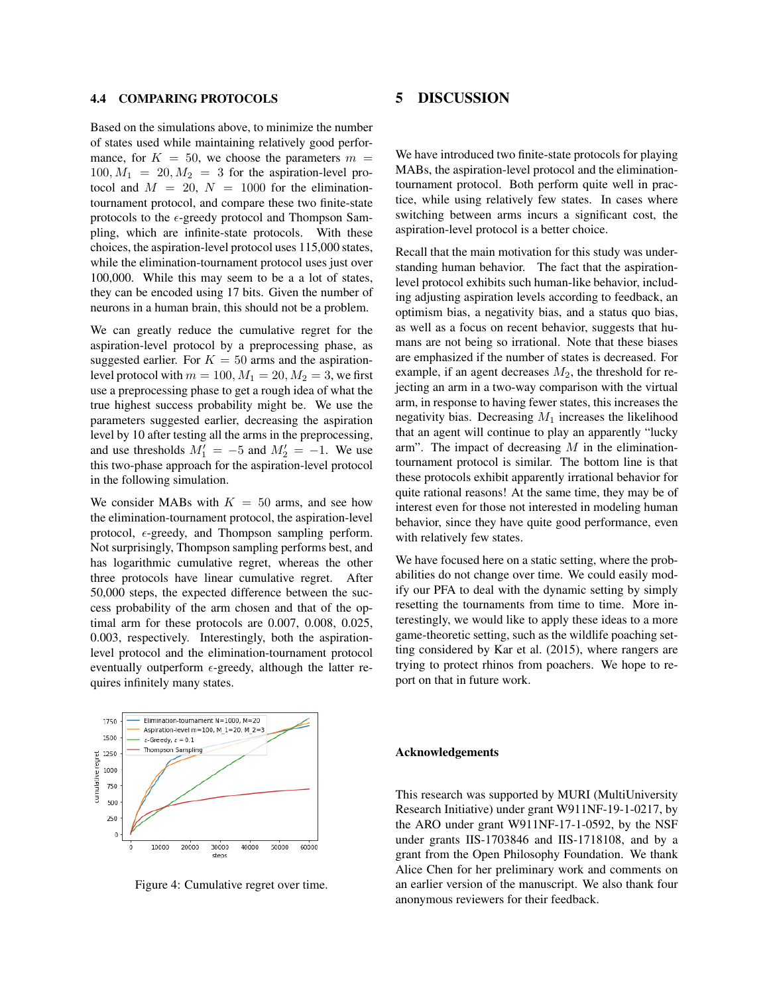#### 4.4 COMPARING PROTOCOLS

Based on the simulations above, to minimize the number of states used while maintaining relatively good performance, for  $K = 50$ , we choose the parameters  $m =$  $100, M_1 = 20, M_2 = 3$  for the aspiration-level protocol and  $M = 20$ ,  $N = 1000$  for the eliminationtournament protocol, and compare these two finite-state protocols to the  $\epsilon$ -greedy protocol and Thompson Sampling, which are infinite-state protocols. With these choices, the aspiration-level protocol uses 115,000 states, while the elimination-tournament protocol uses just over 100,000. While this may seem to be a a lot of states, they can be encoded using 17 bits. Given the number of neurons in a human brain, this should not be a problem.

We can greatly reduce the cumulative regret for the aspiration-level protocol by a preprocessing phase, as suggested earlier. For  $K = 50$  arms and the aspirationlevel protocol with  $m = 100$ ,  $M_1 = 20$ ,  $M_2 = 3$ , we first use a preprocessing phase to get a rough idea of what the true highest success probability might be. We use the parameters suggested earlier, decreasing the aspiration level by 10 after testing all the arms in the preprocessing, and use thresholds  $M_1' = -5$  and  $M_2' = -1$ . We use this two-phase approach for the aspiration-level protocol in the following simulation.

We consider MABs with  $K = 50$  arms, and see how the elimination-tournament protocol, the aspiration-level protocol,  $\epsilon$ -greedy, and Thompson sampling perform. Not surprisingly, Thompson sampling performs best, and has logarithmic cumulative regret, whereas the other three protocols have linear cumulative regret. After 50,000 steps, the expected difference between the success probability of the arm chosen and that of the optimal arm for these protocols are 0.007, 0.008, 0.025, 0.003, respectively. Interestingly, both the aspirationlevel protocol and the elimination-tournament protocol eventually outperform  $\epsilon$ -greedy, although the latter requires infinitely many states.

#### Elimination-tournament N=1000, M=20 1750 Aspiration-level m=100, M  $1=20$ , M  $2=3$ 1500  $\varepsilon$ -Greedy,  $\varepsilon = 0.1$ Thompson Sampling 1250 :umulative regret 1000 750 500 250 10000 20000 30000 40000 50000 60000 steps

Figure 4: Cumulative regret over time.

## 5 DISCUSSION

We have introduced two finite-state protocols for playing MABs, the aspiration-level protocol and the eliminationtournament protocol. Both perform quite well in practice, while using relatively few states. In cases where switching between arms incurs a significant cost, the aspiration-level protocol is a better choice.

Recall that the main motivation for this study was understanding human behavior. The fact that the aspirationlevel protocol exhibits such human-like behavior, including adjusting aspiration levels according to feedback, an optimism bias, a negativity bias, and a status quo bias, as well as a focus on recent behavior, suggests that humans are not being so irrational. Note that these biases are emphasized if the number of states is decreased. For example, if an agent decreases  $M_2$ , the threshold for rejecting an arm in a two-way comparison with the virtual arm, in response to having fewer states, this increases the negativity bias. Decreasing  $M_1$  increases the likelihood that an agent will continue to play an apparently "lucky arm". The impact of decreasing  $M$  in the eliminationtournament protocol is similar. The bottom line is that these protocols exhibit apparently irrational behavior for quite rational reasons! At the same time, they may be of interest even for those not interested in modeling human behavior, since they have quite good performance, even with relatively few states.

We have focused here on a static setting, where the probabilities do not change over time. We could easily modify our PFA to deal with the dynamic setting by simply resetting the tournaments from time to time. More interestingly, we would like to apply these ideas to a more game-theoretic setting, such as the wildlife poaching setting considered by Kar et al. (2015), where rangers are trying to protect rhinos from poachers. We hope to report on that in future work.

#### Acknowledgements

This research was supported by MURI (MultiUniversity Research Initiative) under grant W911NF-19-1-0217, by the ARO under grant W911NF-17-1-0592, by the NSF under grants IIS-1703846 and IIS-1718108, and by a grant from the Open Philosophy Foundation. We thank Alice Chen for her preliminary work and comments on an earlier version of the manuscript. We also thank four anonymous reviewers for their feedback.